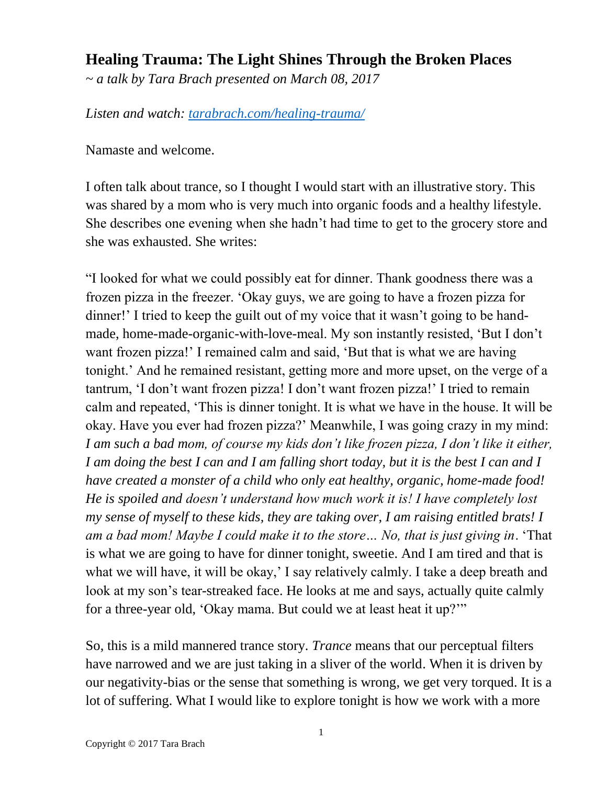## **Healing Trauma: The Light Shines Through the Broken Places**

*~ a talk by Tara Brach presented on March 08, 2017*

*Listen and watch: [tarabrach.com/healing-trauma/](https://www.tarabrach.com/healing-trauma/)*

Namaste and welcome.

I often talk about trance, so I thought I would start with an illustrative story. This was shared by a mom who is very much into organic foods and a healthy lifestyle. She describes one evening when she hadn't had time to get to the grocery store and she was exhausted. She writes:

"I looked for what we could possibly eat for dinner. Thank goodness there was a frozen pizza in the freezer. 'Okay guys, we are going to have a frozen pizza for dinner!' I tried to keep the guilt out of my voice that it wasn't going to be handmade, home-made-organic-with-love-meal. My son instantly resisted, 'But I don't want frozen pizza!' I remained calm and said, 'But that is what we are having tonight.' And he remained resistant, getting more and more upset, on the verge of a tantrum, 'I don't want frozen pizza! I don't want frozen pizza!' I tried to remain calm and repeated, 'This is dinner tonight. It is what we have in the house. It will be okay. Have you ever had frozen pizza?' Meanwhile, I was going crazy in my mind: *I am such a bad mom, of course my kids don't like frozen pizza, I don't like it either, I am doing the best I can and I am falling short today, but it is the best I can and I have created a monster of a child who only eat healthy, organic, home-made food! He is spoiled and doesn't understand how much work it is! I have completely lost my sense of myself to these kids, they are taking over, I am raising entitled brats! I am a bad mom! Maybe I could make it to the store… No, that is just giving in*. 'That is what we are going to have for dinner tonight, sweetie. And I am tired and that is what we will have, it will be okay,' I say relatively calmly. I take a deep breath and look at my son's tear-streaked face. He looks at me and says, actually quite calmly for a three-year old, 'Okay mama. But could we at least heat it up?'"

So, this is a mild mannered trance story. *Trance* means that our perceptual filters have narrowed and we are just taking in a sliver of the world. When it is driven by our negativity-bias or the sense that something is wrong, we get very torqued. It is a lot of suffering. What I would like to explore tonight is how we work with a more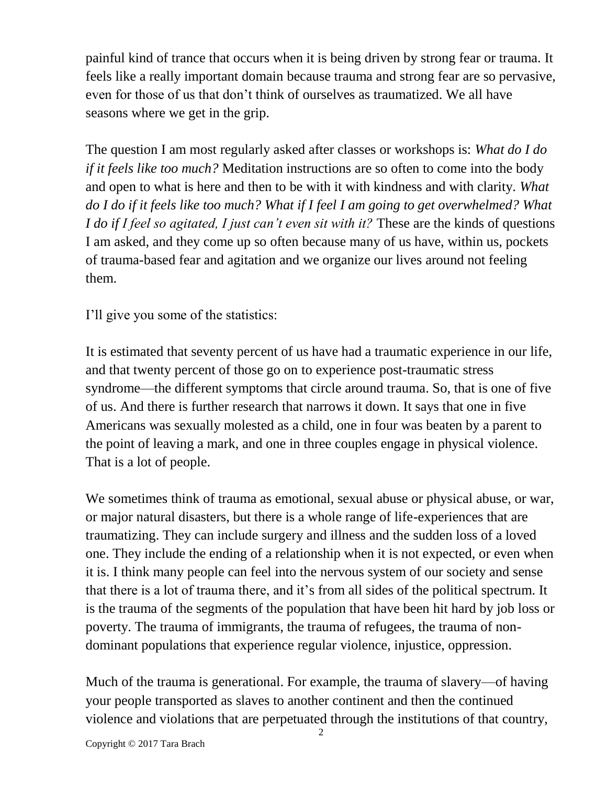painful kind of trance that occurs when it is being driven by strong fear or trauma. It feels like a really important domain because trauma and strong fear are so pervasive, even for those of us that don't think of ourselves as traumatized. We all have seasons where we get in the grip.

The question I am most regularly asked after classes or workshops is: *What do I do if it feels like too much?* Meditation instructions are so often to come into the body and open to what is here and then to be with it with kindness and with clarity. *What do I do if it feels like too much? What if I feel I am going to get overwhelmed? What I do if I feel so agitated, I just can't even sit with it?* These are the kinds of questions I am asked, and they come up so often because many of us have, within us, pockets of trauma-based fear and agitation and we organize our lives around not feeling them.

I'll give you some of the statistics:

It is estimated that seventy percent of us have had a traumatic experience in our life, and that twenty percent of those go on to experience post-traumatic stress syndrome—the different symptoms that circle around trauma. So, that is one of five of us. And there is further research that narrows it down. It says that one in five Americans was sexually molested as a child, one in four was beaten by a parent to the point of leaving a mark, and one in three couples engage in physical violence. That is a lot of people.

We sometimes think of trauma as emotional, sexual abuse or physical abuse, or war, or major natural disasters, but there is a whole range of life-experiences that are traumatizing. They can include surgery and illness and the sudden loss of a loved one. They include the ending of a relationship when it is not expected, or even when it is. I think many people can feel into the nervous system of our society and sense that there is a lot of trauma there, and it's from all sides of the political spectrum. It is the trauma of the segments of the population that have been hit hard by job loss or poverty. The trauma of immigrants, the trauma of refugees, the trauma of nondominant populations that experience regular violence, injustice, oppression.

Much of the trauma is generational. For example, the trauma of slavery—of having your people transported as slaves to another continent and then the continued violence and violations that are perpetuated through the institutions of that country,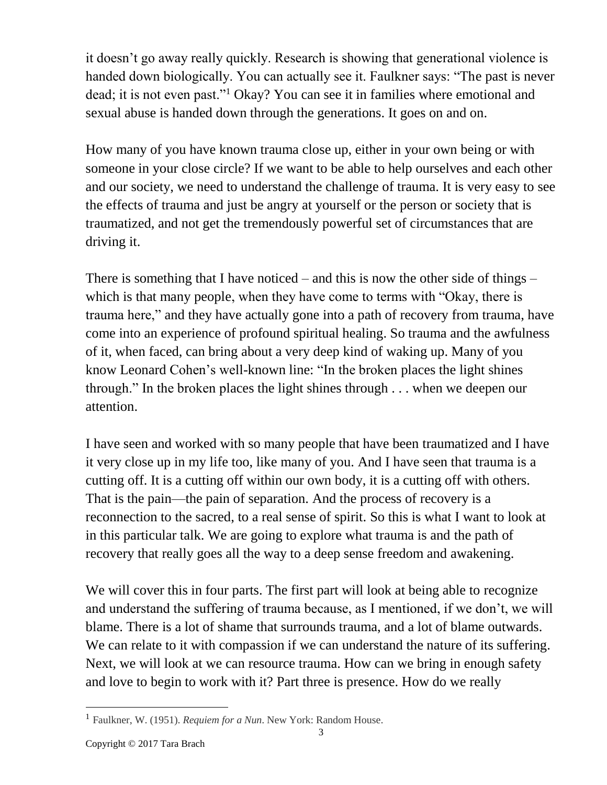it doesn't go away really quickly. Research is showing that generational violence is handed down biologically. You can actually see it. Faulkner says: "The past is never dead; it is not even past."<sup>1</sup> Okay? You can see it in families where emotional and sexual abuse is handed down through the generations. It goes on and on.

How many of you have known trauma close up, either in your own being or with someone in your close circle? If we want to be able to help ourselves and each other and our society, we need to understand the challenge of trauma. It is very easy to see the effects of trauma and just be angry at yourself or the person or society that is traumatized, and not get the tremendously powerful set of circumstances that are driving it.

There is something that I have noticed – and this is now the other side of things – which is that many people, when they have come to terms with "Okay, there is trauma here," and they have actually gone into a path of recovery from trauma, have come into an experience of profound spiritual healing. So trauma and the awfulness of it, when faced, can bring about a very deep kind of waking up. Many of you know Leonard Cohen's well-known line: "In the broken places the light shines through." In the broken places the light shines through . . . when we deepen our attention.

I have seen and worked with so many people that have been traumatized and I have it very close up in my life too, like many of you. And I have seen that trauma is a cutting off. It is a cutting off within our own body, it is a cutting off with others. That is the pain—the pain of separation. And the process of recovery is a reconnection to the sacred, to a real sense of spirit. So this is what I want to look at in this particular talk. We are going to explore what trauma is and the path of recovery that really goes all the way to a deep sense freedom and awakening.

We will cover this in four parts. The first part will look at being able to recognize and understand the suffering of trauma because, as I mentioned, if we don't, we will blame. There is a lot of shame that surrounds trauma, and a lot of blame outwards. We can relate to it with compassion if we can understand the nature of its suffering. Next, we will look at we can resource trauma. How can we bring in enough safety and love to begin to work with it? Part three is presence. How do we really

l

<sup>1</sup> Faulkner, W. (1951). *Requiem for a Nun*. New York: Random House.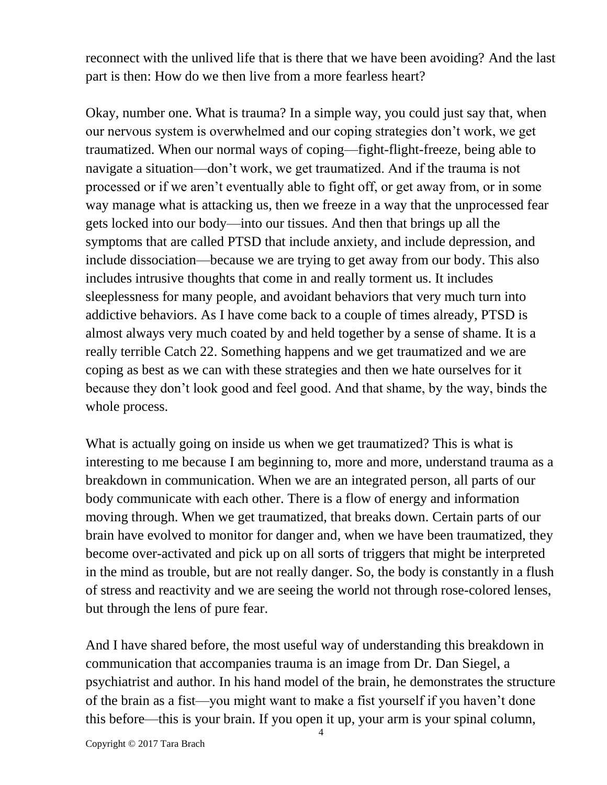reconnect with the unlived life that is there that we have been avoiding? And the last part is then: How do we then live from a more fearless heart?

Okay, number one. What is trauma? In a simple way, you could just say that, when our nervous system is overwhelmed and our coping strategies don't work, we get traumatized. When our normal ways of coping—fight-flight-freeze, being able to navigate a situation—don't work, we get traumatized. And if the trauma is not processed or if we aren't eventually able to fight off, or get away from, or in some way manage what is attacking us, then we freeze in a way that the unprocessed fear gets locked into our body—into our tissues. And then that brings up all the symptoms that are called PTSD that include anxiety, and include depression, and include dissociation—because we are trying to get away from our body. This also includes intrusive thoughts that come in and really torment us. It includes sleeplessness for many people, and avoidant behaviors that very much turn into addictive behaviors. As I have come back to a couple of times already, PTSD is almost always very much coated by and held together by a sense of shame. It is a really terrible Catch 22. Something happens and we get traumatized and we are coping as best as we can with these strategies and then we hate ourselves for it because they don't look good and feel good. And that shame, by the way, binds the whole process.

What is actually going on inside us when we get traumatized? This is what is interesting to me because I am beginning to, more and more, understand trauma as a breakdown in communication. When we are an integrated person, all parts of our body communicate with each other. There is a flow of energy and information moving through. When we get traumatized, that breaks down. Certain parts of our brain have evolved to monitor for danger and, when we have been traumatized, they become over-activated and pick up on all sorts of triggers that might be interpreted in the mind as trouble, but are not really danger. So, the body is constantly in a flush of stress and reactivity and we are seeing the world not through rose-colored lenses, but through the lens of pure fear.

And I have shared before, the most useful way of understanding this breakdown in communication that accompanies trauma is an image from Dr. Dan Siegel, a psychiatrist and author. In his hand model of the brain, he demonstrates the structure of the brain as a fist—you might want to make a fist yourself if you haven't done this before—this is your brain. If you open it up, your arm is your spinal column,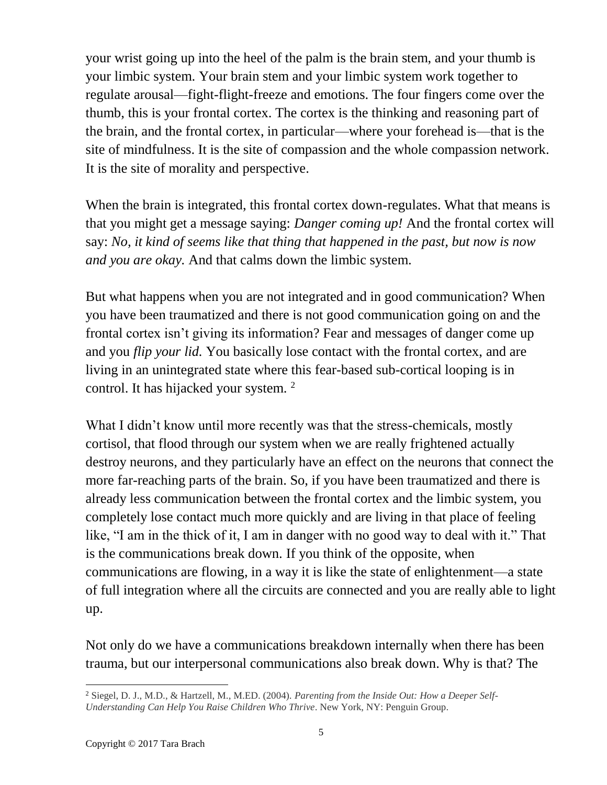your wrist going up into the heel of the palm is the brain stem, and your thumb is your limbic system. Your brain stem and your limbic system work together to regulate arousal—fight-flight-freeze and emotions. The four fingers come over the thumb, this is your frontal cortex. The cortex is the thinking and reasoning part of the brain, and the frontal cortex, in particular—where your forehead is—that is the site of mindfulness. It is the site of compassion and the whole compassion network. It is the site of morality and perspective.

When the brain is integrated, this frontal cortex down-regulates. What that means is that you might get a message saying: *Danger coming up!* And the frontal cortex will say: *No, it kind of seems like that thing that happened in the past, but now is now and you are okay.* And that calms down the limbic system.

But what happens when you are not integrated and in good communication? When you have been traumatized and there is not good communication going on and the frontal cortex isn't giving its information? Fear and messages of danger come up and you *flip your lid.* You basically lose contact with the frontal cortex, and are living in an unintegrated state where this fear-based sub-cortical looping is in control. It has hijacked your system. <sup>2</sup>

What I didn't know until more recently was that the stress-chemicals, mostly cortisol, that flood through our system when we are really frightened actually destroy neurons, and they particularly have an effect on the neurons that connect the more far-reaching parts of the brain. So, if you have been traumatized and there is already less communication between the frontal cortex and the limbic system, you completely lose contact much more quickly and are living in that place of feeling like, "I am in the thick of it, I am in danger with no good way to deal with it." That is the communications break down. If you think of the opposite, when communications are flowing, in a way it is like the state of enlightenment—a state of full integration where all the circuits are connected and you are really able to light up.

Not only do we have a communications breakdown internally when there has been trauma, but our interpersonal communications also break down. Why is that? The

l <sup>2</sup> Siegel, D. J., M.D., & Hartzell, M., M.ED. (2004). *Parenting from the Inside Out: How a Deeper Self-Understanding Can Help You Raise Children Who Thrive*. New York, NY: Penguin Group.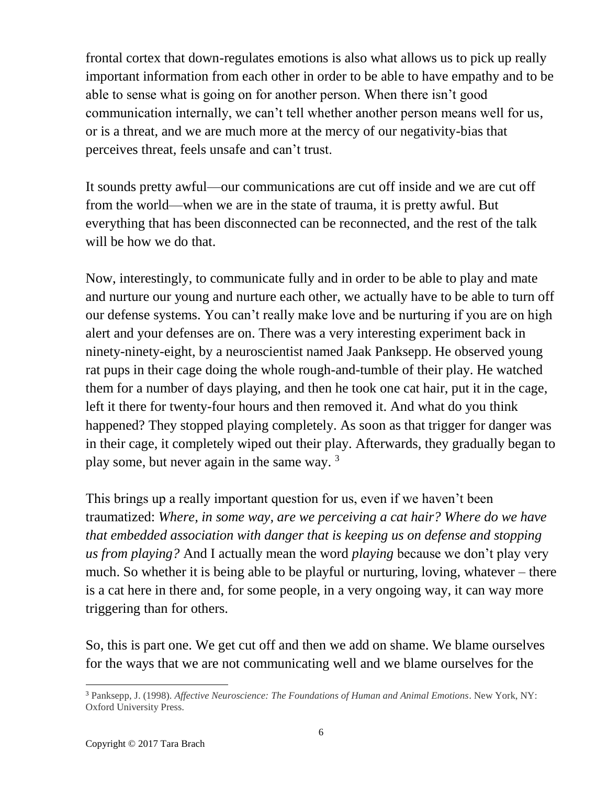frontal cortex that down-regulates emotions is also what allows us to pick up really important information from each other in order to be able to have empathy and to be able to sense what is going on for another person. When there isn't good communication internally, we can't tell whether another person means well for us, or is a threat, and we are much more at the mercy of our negativity-bias that perceives threat, feels unsafe and can't trust.

It sounds pretty awful—our communications are cut off inside and we are cut off from the world—when we are in the state of trauma, it is pretty awful. But everything that has been disconnected can be reconnected, and the rest of the talk will be how we do that.

Now, interestingly, to communicate fully and in order to be able to play and mate and nurture our young and nurture each other, we actually have to be able to turn off our defense systems. You can't really make love and be nurturing if you are on high alert and your defenses are on. There was a very interesting experiment back in ninety-ninety-eight, by a neuroscientist named Jaak Panksepp. He observed young rat pups in their cage doing the whole rough-and-tumble of their play. He watched them for a number of days playing, and then he took one cat hair, put it in the cage, left it there for twenty-four hours and then removed it. And what do you think happened? They stopped playing completely. As soon as that trigger for danger was in their cage, it completely wiped out their play. Afterwards, they gradually began to play some, but never again in the same way.  $3\overline{ }$ 

This brings up a really important question for us, even if we haven't been traumatized: *Where, in some way, are we perceiving a cat hair? Where do we have that embedded association with danger that is keeping us on defense and stopping us from playing?* And I actually mean the word *playing* because we don't play very much. So whether it is being able to be playful or nurturing, loving, whatever – there is a cat here in there and, for some people, in a very ongoing way, it can way more triggering than for others.

So, this is part one. We get cut off and then we add on shame. We blame ourselves for the ways that we are not communicating well and we blame ourselves for the

l <sup>3</sup> Panksepp, J. (1998). *Affective Neuroscience: The Foundations of Human and Animal Emotions*. New York, NY: Oxford University Press.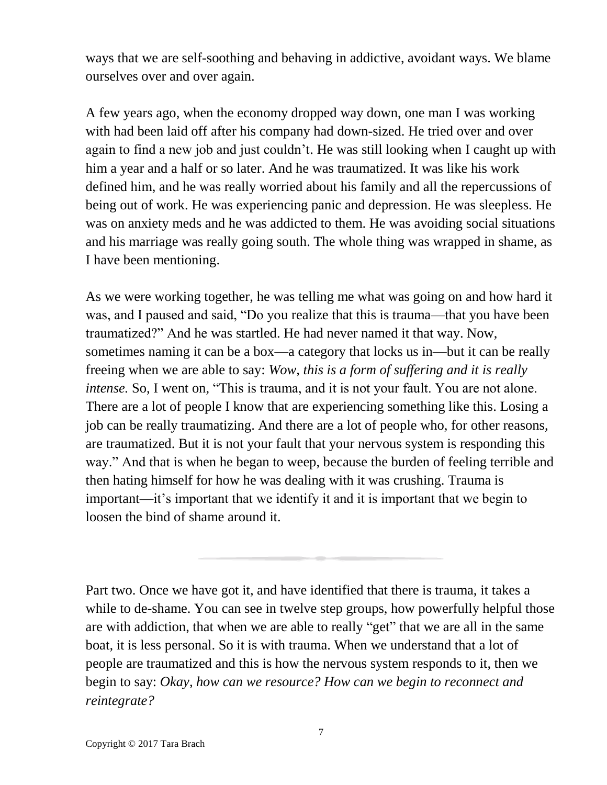ways that we are self-soothing and behaving in addictive, avoidant ways. We blame ourselves over and over again.

A few years ago, when the economy dropped way down, one man I was working with had been laid off after his company had down-sized. He tried over and over again to find a new job and just couldn't. He was still looking when I caught up with him a year and a half or so later. And he was traumatized. It was like his work defined him, and he was really worried about his family and all the repercussions of being out of work. He was experiencing panic and depression. He was sleepless. He was on anxiety meds and he was addicted to them. He was avoiding social situations and his marriage was really going south. The whole thing was wrapped in shame, as I have been mentioning.

As we were working together, he was telling me what was going on and how hard it was, and I paused and said, "Do you realize that this is trauma—that you have been traumatized?" And he was startled. He had never named it that way. Now, sometimes naming it can be a box—a category that locks us in—but it can be really freeing when we are able to say: *Wow, this is a form of suffering and it is really intense*. So, I went on, "This is trauma, and it is not your fault. You are not alone. There are a lot of people I know that are experiencing something like this. Losing a job can be really traumatizing. And there are a lot of people who, for other reasons, are traumatized. But it is not your fault that your nervous system is responding this way." And that is when he began to weep, because the burden of feeling terrible and then hating himself for how he was dealing with it was crushing. Trauma is important—it's important that we identify it and it is important that we begin to loosen the bind of shame around it.

Part two. Once we have got it, and have identified that there is trauma, it takes a while to de-shame. You can see in twelve step groups, how powerfully helpful those are with addiction, that when we are able to really "get" that we are all in the same boat*,* it is less personal. So it is with trauma. When we understand that a lot of people are traumatized and this is how the nervous system responds to it, then we begin to say: *Okay, how can we resource? How can we begin to reconnect and reintegrate?*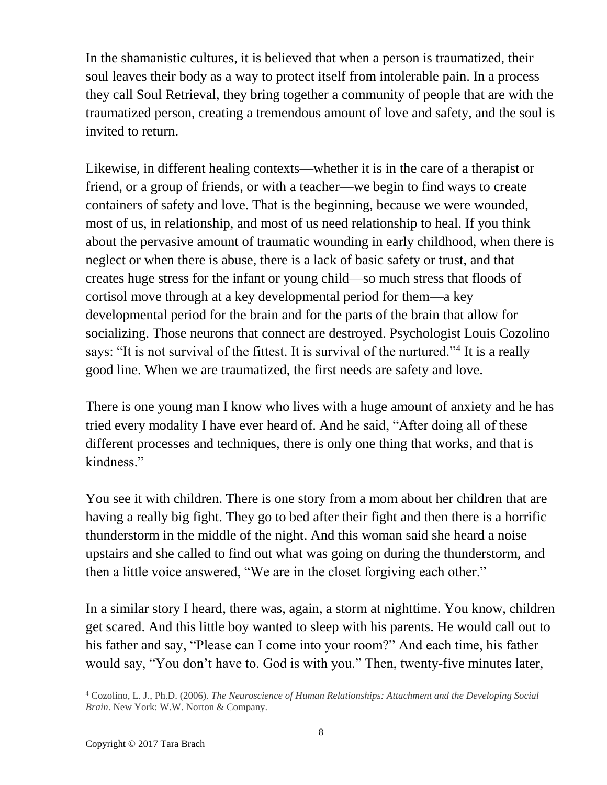In the shamanistic cultures, it is believed that when a person is traumatized, their soul leaves their body as a way to protect itself from intolerable pain. In a process they call Soul Retrieval, they bring together a community of people that are with the traumatized person, creating a tremendous amount of love and safety, and the soul is invited to return.

Likewise, in different healing contexts—whether it is in the care of a therapist or friend, or a group of friends, or with a teacher—we begin to find ways to create containers of safety and love. That is the beginning, because we were wounded, most of us, in relationship, and most of us need relationship to heal. If you think about the pervasive amount of traumatic wounding in early childhood, when there is neglect or when there is abuse, there is a lack of basic safety or trust, and that creates huge stress for the infant or young child—so much stress that floods of cortisol move through at a key developmental period for them—a key developmental period for the brain and for the parts of the brain that allow for socializing. Those neurons that connect are destroyed. Psychologist Louis Cozolino says: "It is not survival of the fittest. It is survival of the nurtured."<sup>4</sup> It is a really good line. When we are traumatized, the first needs are safety and love.

There is one young man I know who lives with a huge amount of anxiety and he has tried every modality I have ever heard of. And he said, "After doing all of these different processes and techniques, there is only one thing that works, and that is kindness."

You see it with children. There is one story from a mom about her children that are having a really big fight. They go to bed after their fight and then there is a horrific thunderstorm in the middle of the night. And this woman said she heard a noise upstairs and she called to find out what was going on during the thunderstorm, and then a little voice answered, "We are in the closet forgiving each other."

In a similar story I heard, there was, again, a storm at nighttime. You know, children get scared. And this little boy wanted to sleep with his parents. He would call out to his father and say, "Please can I come into your room?" And each time, his father would say, "You don't have to. God is with you." Then, twenty-five minutes later,

l <sup>4</sup> Cozolino, L. J., Ph.D. (2006). *The Neuroscience of Human Relationships: Attachment and the Developing Social Brain*. New York: W.W. Norton & Company.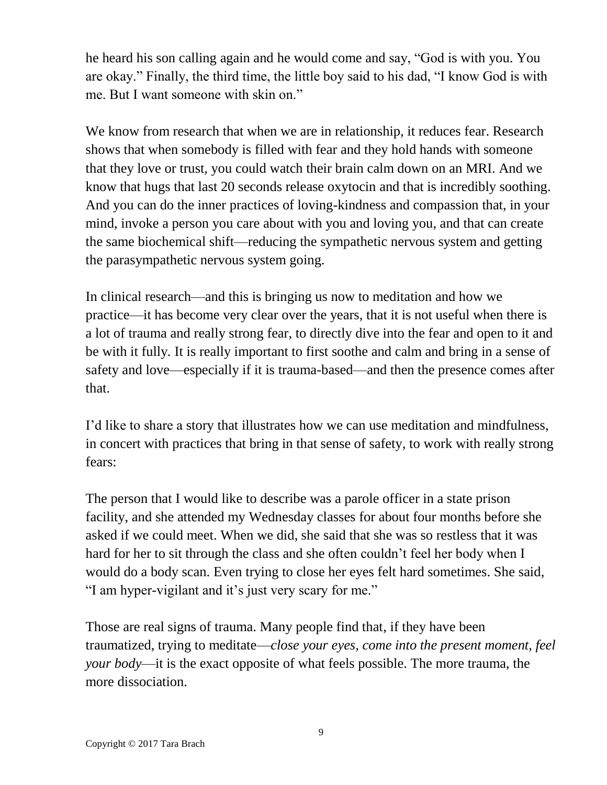he heard his son calling again and he would come and say, "God is with you. You are okay." Finally, the third time, the little boy said to his dad, "I know God is with me. But I want someone with skin on."

We know from research that when we are in relationship, it reduces fear. Research shows that when somebody is filled with fear and they hold hands with someone that they love or trust, you could watch their brain calm down on an MRI. And we know that hugs that last 20 seconds release oxytocin and that is incredibly soothing. And you can do the inner practices of loving-kindness and compassion that, in your mind, invoke a person you care about with you and loving you, and that can create the same biochemical shift—reducing the sympathetic nervous system and getting the parasympathetic nervous system going.

In clinical research—and this is bringing us now to meditation and how we practice—it has become very clear over the years, that it is not useful when there is a lot of trauma and really strong fear, to directly dive into the fear and open to it and be with it fully*.* It is really important to first soothe and calm and bring in a sense of safety and love—especially if it is trauma-based—and then the presence comes after that.

I'd like to share a story that illustrates how we can use meditation and mindfulness, in concert with practices that bring in that sense of safety, to work with really strong fears:

The person that I would like to describe was a parole officer in a state prison facility, and she attended my Wednesday classes for about four months before she asked if we could meet. When we did, she said that she was so restless that it was hard for her to sit through the class and she often couldn't feel her body when I would do a body scan. Even trying to close her eyes felt hard sometimes. She said, "I am hyper-vigilant and it's just very scary for me."

Those are real signs of trauma. Many people find that, if they have been traumatized, trying to meditate—*close your eyes, come into the present moment, feel your body*—it is the exact opposite of what feels possible. The more trauma, the more dissociation.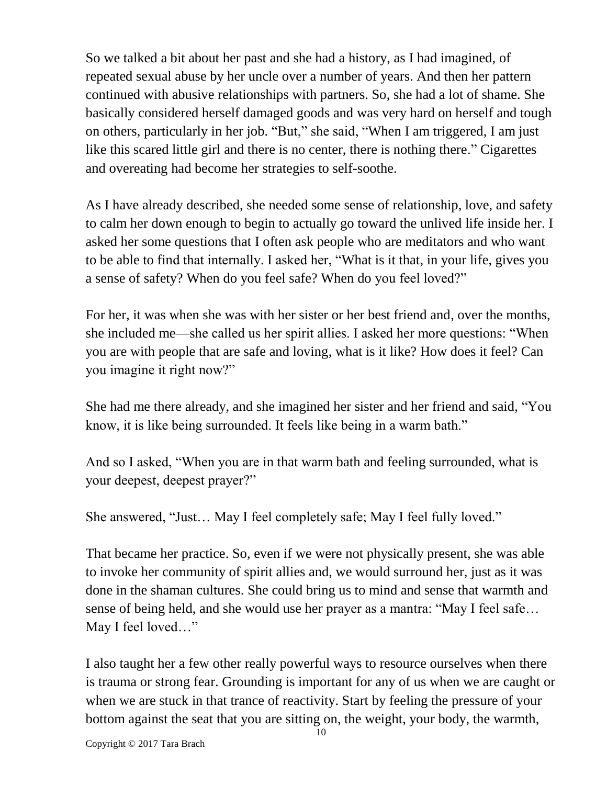So we talked a bit about her past and she had a history, as I had imagined, of repeated sexual abuse by her uncle over a number of years. And then her pattern continued with abusive relationships with partners. So, she had a lot of shame. She basically considered herself damaged goods and was very hard on herself and tough on others, particularly in her job. "But," she said, "When I am triggered, I am just like this scared little girl and there is no center, there is nothing there." Cigarettes and overeating had become her strategies to self-soothe.

As I have already described, she needed some sense of relationship, love, and safety to calm her down enough to begin to actually go toward the unlived life inside her. I asked her some questions that I often ask people who are meditators and who want to be able to find that internally. I asked her, "What is it that, in your life, gives you a sense of safety? When do you feel safe? When do you feel loved?"

For her, it was when she was with her sister or her best friend and, over the months, she included me—she called us her spirit allies. I asked her more questions: "When you are with people that are safe and loving, what is it like? How does it feel? Can you imagine it right now?"

She had me there already, and she imagined her sister and her friend and said, "You know, it is like being surrounded. It feels like being in a warm bath."

And so I asked, "When you are in that warm bath and feeling surrounded, what is your deepest, deepest prayer?"

She answered, "Just… May I feel completely safe; May I feel fully loved."

That became her practice. So, even if we were not physically present, she was able to invoke her community of spirit allies and, we would surround her, just as it was done in the shaman cultures. She could bring us to mind and sense that warmth and sense of being held, and she would use her prayer as a mantra: "May I feel safe… May I feel loved…"

I also taught her a few other really powerful ways to resource ourselves when there is trauma or strong fear. Grounding is important for any of us when we are caught or when we are stuck in that trance of reactivity. Start by feeling the pressure of your bottom against the seat that you are sitting on, the weight, your body, the warmth,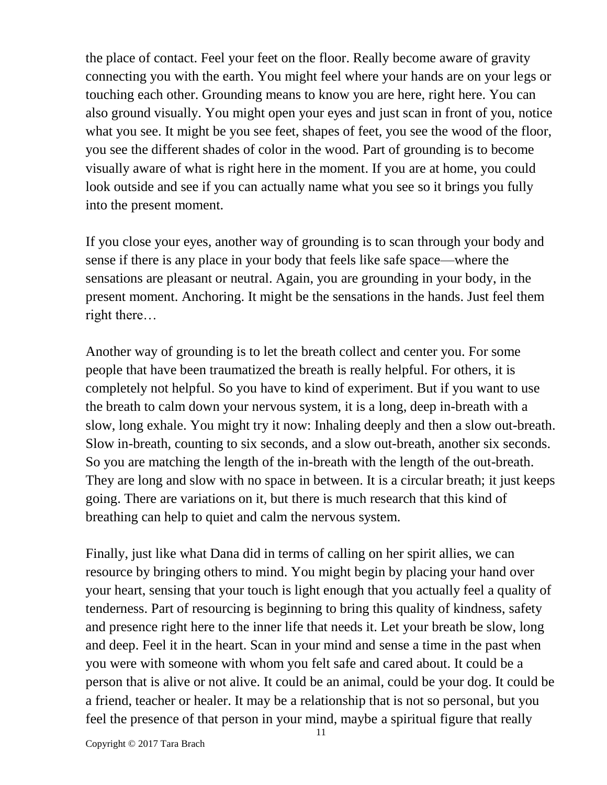the place of contact. Feel your feet on the floor. Really become aware of gravity connecting you with the earth. You might feel where your hands are on your legs or touching each other. Grounding means to know you are here, right here. You can also ground visually. You might open your eyes and just scan in front of you, notice what you see. It might be you see feet, shapes of feet, you see the wood of the floor, you see the different shades of color in the wood. Part of grounding is to become visually aware of what is right here in the moment. If you are at home, you could look outside and see if you can actually name what you see so it brings you fully into the present moment.

If you close your eyes, another way of grounding is to scan through your body and sense if there is any place in your body that feels like safe space—where the sensations are pleasant or neutral. Again, you are grounding in your body, in the present moment. Anchoring. It might be the sensations in the hands. Just feel them right there…

Another way of grounding is to let the breath collect and center you. For some people that have been traumatized the breath is really helpful. For others, it is completely not helpful. So you have to kind of experiment. But if you want to use the breath to calm down your nervous system, it is a long, deep in-breath with a slow, long exhale. You might try it now: Inhaling deeply and then a slow out-breath. Slow in-breath, counting to six seconds, and a slow out-breath, another six seconds. So you are matching the length of the in-breath with the length of the out-breath. They are long and slow with no space in between. It is a circular breath; it just keeps going. There are variations on it, but there is much research that this kind of breathing can help to quiet and calm the nervous system.

Finally, just like what Dana did in terms of calling on her spirit allies, we can resource by bringing others to mind. You might begin by placing your hand over your heart, sensing that your touch is light enough that you actually feel a quality of tenderness. Part of resourcing is beginning to bring this quality of kindness, safety and presence right here to the inner life that needs it. Let your breath be slow, long and deep. Feel it in the heart. Scan in your mind and sense a time in the past when you were with someone with whom you felt safe and cared about. It could be a person that is alive or not alive. It could be an animal, could be your dog. It could be a friend, teacher or healer. It may be a relationship that is not so personal, but you feel the presence of that person in your mind, maybe a spiritual figure that really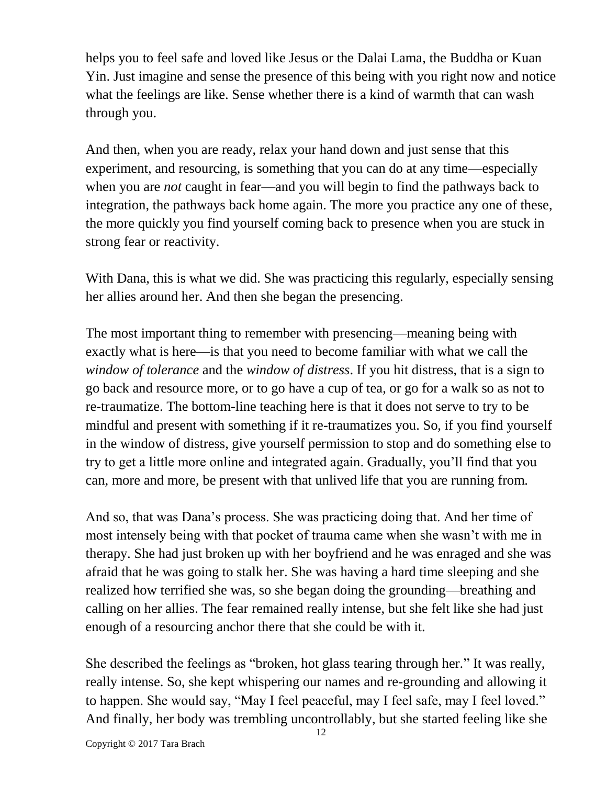helps you to feel safe and loved like Jesus or the Dalai Lama, the Buddha or Kuan Yin. Just imagine and sense the presence of this being with you right now and notice what the feelings are like. Sense whether there is a kind of warmth that can wash through you.

And then, when you are ready, relax your hand down and just sense that this experiment, and resourcing, is something that you can do at any time—especially when you are *not* caught in fear—and you will begin to find the pathways back to integration, the pathways back home again. The more you practice any one of these, the more quickly you find yourself coming back to presence when you are stuck in strong fear or reactivity.

With Dana, this is what we did. She was practicing this regularly, especially sensing her allies around her. And then she began the presencing.

The most important thing to remember with presencing—meaning being with exactly what is here—is that you need to become familiar with what we call the *window of tolerance* and the *window of distress*. If you hit distress, that is a sign to go back and resource more, or to go have a cup of tea, or go for a walk so as not to re-traumatize. The bottom-line teaching here is that it does not serve to try to be mindful and present with something if it re-traumatizes you. So, if you find yourself in the window of distress, give yourself permission to stop and do something else to try to get a little more online and integrated again. Gradually, you'll find that you can, more and more, be present with that unlived life that you are running from.

And so, that was Dana's process. She was practicing doing that. And her time of most intensely being with that pocket of trauma came when she wasn't with me in therapy. She had just broken up with her boyfriend and he was enraged and she was afraid that he was going to stalk her. She was having a hard time sleeping and she realized how terrified she was, so she began doing the grounding—breathing and calling on her allies. The fear remained really intense, but she felt like she had just enough of a resourcing anchor there that she could be with it.

She described the feelings as "broken, hot glass tearing through her." It was really, really intense. So, she kept whispering our names and re-grounding and allowing it to happen. She would say, "May I feel peaceful, may I feel safe, may I feel loved." And finally, her body was trembling uncontrollably, but she started feeling like she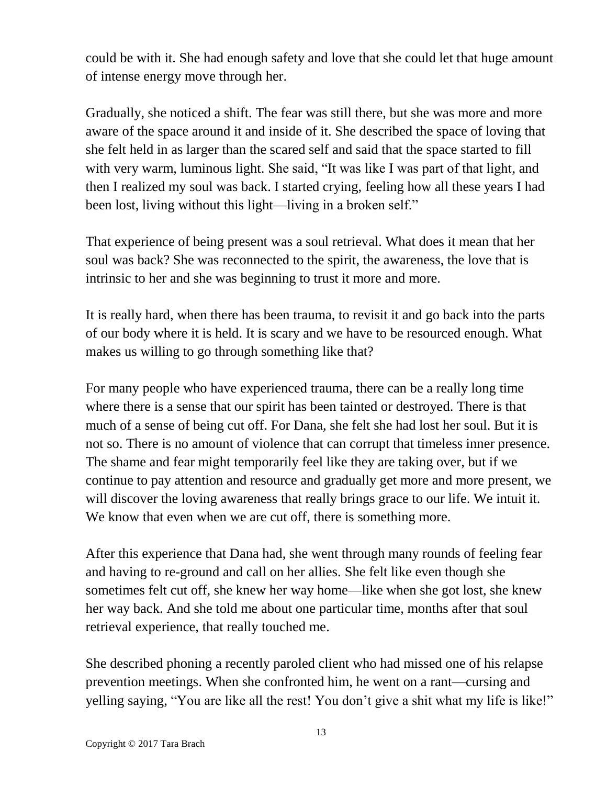could be with it. She had enough safety and love that she could let that huge amount of intense energy move through her.

Gradually, she noticed a shift. The fear was still there, but she was more and more aware of the space around it and inside of it. She described the space of loving that she felt held in as larger than the scared self and said that the space started to fill with very warm, luminous light. She said, "It was like I was part of that light, and then I realized my soul was back. I started crying, feeling how all these years I had been lost, living without this light—living in a broken self."

That experience of being present was a soul retrieval. What does it mean that her soul was back? She was reconnected to the spirit, the awareness, the love that is intrinsic to her and she was beginning to trust it more and more.

It is really hard, when there has been trauma, to revisit it and go back into the parts of our body where it is held. It is scary and we have to be resourced enough. What makes us willing to go through something like that?

For many people who have experienced trauma, there can be a really long time where there is a sense that our spirit has been tainted or destroyed. There is that much of a sense of being cut off. For Dana, she felt she had lost her soul. But it is not so. There is no amount of violence that can corrupt that timeless inner presence. The shame and fear might temporarily feel like they are taking over, but if we continue to pay attention and resource and gradually get more and more present, we will discover the loving awareness that really brings grace to our life. We intuit it. We know that even when we are cut off, there is something more.

After this experience that Dana had, she went through many rounds of feeling fear and having to re-ground and call on her allies. She felt like even though she sometimes felt cut off, she knew her way home—like when she got lost, she knew her way back. And she told me about one particular time, months after that soul retrieval experience, that really touched me.

She described phoning a recently paroled client who had missed one of his relapse prevention meetings. When she confronted him, he went on a rant—cursing and yelling saying, "You are like all the rest! You don't give a shit what my life is like!"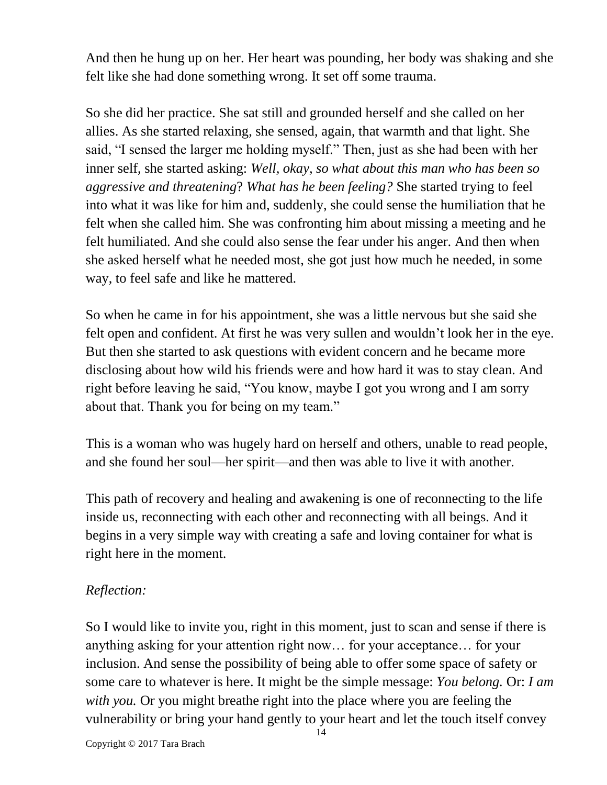And then he hung up on her. Her heart was pounding, her body was shaking and she felt like she had done something wrong. It set off some trauma.

So she did her practice. She sat still and grounded herself and she called on her allies. As she started relaxing, she sensed, again, that warmth and that light. She said, "I sensed the larger me holding myself." Then, just as she had been with her inner self, she started asking: *Well, okay, so what about this man who has been so aggressive and threatening*? *What has he been feeling?* She started trying to feel into what it was like for him and, suddenly, she could sense the humiliation that he felt when she called him. She was confronting him about missing a meeting and he felt humiliated. And she could also sense the fear under his anger. And then when she asked herself what he needed most, she got just how much he needed, in some way, to feel safe and like he mattered.

So when he came in for his appointment, she was a little nervous but she said she felt open and confident. At first he was very sullen and wouldn't look her in the eye. But then she started to ask questions with evident concern and he became more disclosing about how wild his friends were and how hard it was to stay clean. And right before leaving he said, "You know, maybe I got you wrong and I am sorry about that. Thank you for being on my team."

This is a woman who was hugely hard on herself and others, unable to read people, and she found her soul—her spirit—and then was able to live it with another.

This path of recovery and healing and awakening is one of reconnecting to the life inside us, reconnecting with each other and reconnecting with all beings. And it begins in a very simple way with creating a safe and loving container for what is right here in the moment.

## *Reflection:*

So I would like to invite you, right in this moment, just to scan and sense if there is anything asking for your attention right now… for your acceptance… for your inclusion. And sense the possibility of being able to offer some space of safety or some care to whatever is here. It might be the simple message: *You belong.* Or: *I am with you.* Or you might breathe right into the place where you are feeling the vulnerability or bring your hand gently to your heart and let the touch itself convey